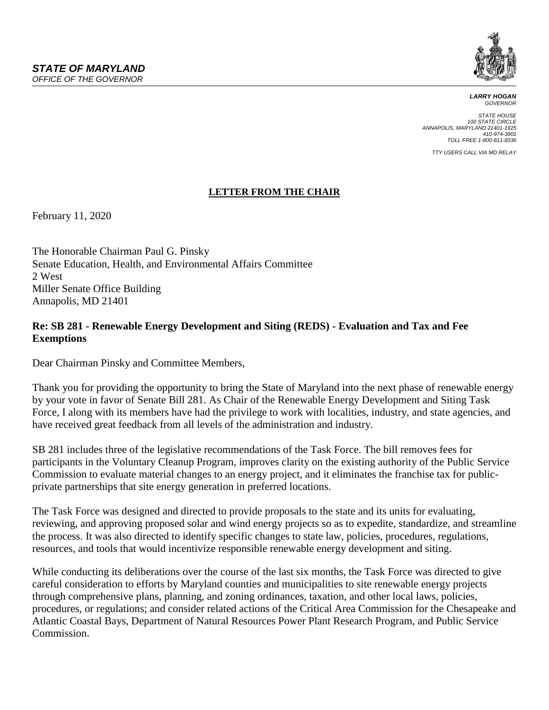

*LARRY HOGAN GOVERNOR*

*STATE HOUSE 100 STATE CIRCLE ANNAPOLIS, MARYLAND 21401-1925 410-974-3901 TOLL FREE 1-800-811-8336*

*TTY USERS CALL VIA MD RELAY*

## **LETTER FROM THE CHAIR**

February 11, 2020

The Honorable Chairman Paul G. Pinsky Senate Education, Health, and Environmental Affairs Committee 2 West Miller Senate Office Building Annapolis, MD 21401

## **Re: SB 281 - Renewable Energy Development and Siting (REDS) - Evaluation and Tax and Fee Exemptions**

Dear Chairman Pinsky and Committee Members,

Thank you for providing the opportunity to bring the State of Maryland into the next phase of renewable energy by your vote in favor of Senate Bill 281. As Chair of the Renewable Energy Development and Siting Task Force, I along with its members have had the privilege to work with localities, industry, and state agencies, and have received great feedback from all levels of the administration and industry.

SB 281 includes three of the legislative recommendations of the Task Force. The bill removes fees for participants in the Voluntary Cleanup Program, improves clarity on the existing authority of the Public Service Commission to evaluate material changes to an energy project, and it eliminates the franchise tax for publicprivate partnerships that site energy generation in preferred locations.

The Task Force was designed and directed to provide proposals to the state and its units for evaluating, reviewing, and approving proposed solar and wind energy projects so as to expedite, standardize, and streamline the process. It was also directed to identify specific changes to state law, policies, procedures, regulations, resources, and tools that would incentivize responsible renewable energy development and siting.

While conducting its deliberations over the course of the last six months, the Task Force was directed to give careful consideration to efforts by Maryland counties and municipalities to site renewable energy projects through comprehensive plans, planning, and zoning ordinances, taxation, and other local laws, policies, procedures, or regulations; and consider related actions of the Critical Area Commission for the Chesapeake and Atlantic Coastal Bays, Department of Natural Resources Power Plant Research Program, and Public Service Commission.